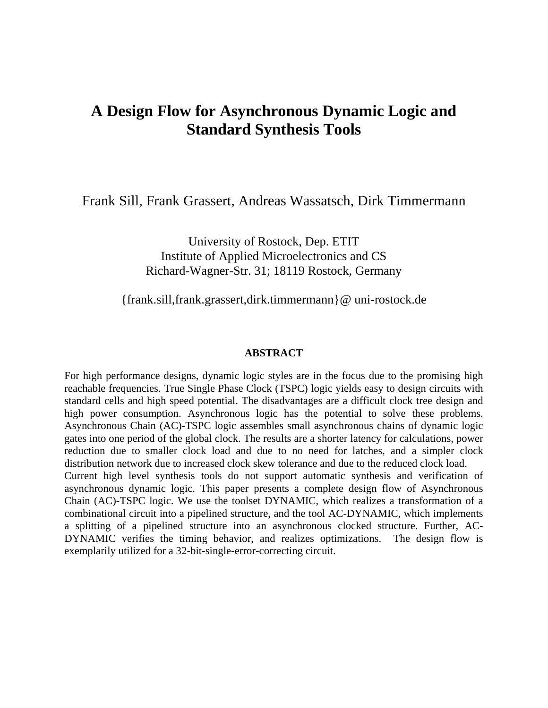# **A Design Flow for Asynchronous Dynamic Logic and Standard Synthesis Tools**

Frank Sill, Frank Grassert, Andreas Wassatsch, Dirk Timmermann

University of Rostock, Dep. ETIT Institute of Applied Microelectronics and CS Richard-Wagner-Str. 31; 18119 Rostock, Germany

{frank.sill,frank.grassert,dirk.timmermann}@ uni-rostock.de

#### **ABSTRACT**

For high performance designs, dynamic logic styles are in the focus due to the promising high reachable frequencies. True Single Phase Clock (TSPC) logic yields easy to design circuits with standard cells and high speed potential. The disadvantages are a difficult clock tree design and high power consumption. Asynchronous logic has the potential to solve these problems. Asynchronous Chain (AC)-TSPC logic assembles small asynchronous chains of dynamic logic gates into one period of the global clock. The results are a shorter latency for calculations, power reduction due to smaller clock load and due to no need for latches, and a simpler clock distribution network due to increased clock skew tolerance and due to the reduced clock load. Current high level synthesis tools do not support automatic synthesis and verification of asynchronous dynamic logic. This paper presents a complete design flow of Asynchronous Chain (AC)-TSPC logic. We use the toolset DYNAMIC, which realizes a transformation of a combinational circuit into a pipelined structure, and the tool AC-DYNAMIC, which implements a splitting of a pipelined structure into an asynchronous clocked structure. Further, AC-DYNAMIC verifies the timing behavior, and realizes optimizations. The design flow is exemplarily utilized for a 32-bit-single-error-correcting circuit.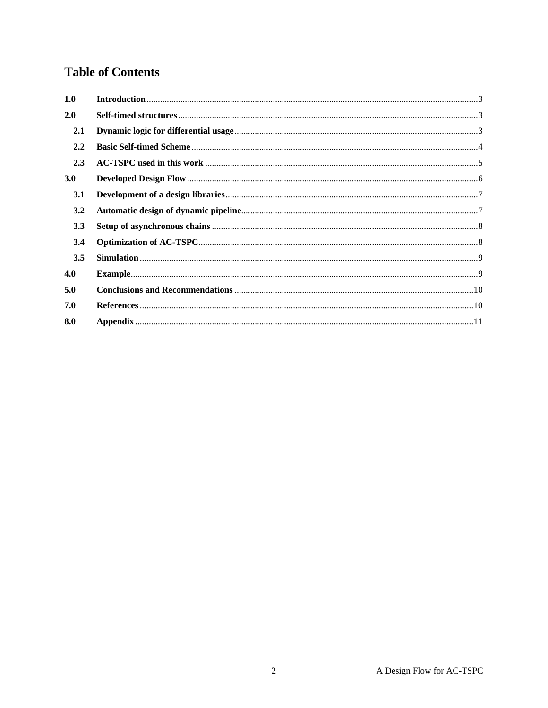# **Table of Contents**

| 1.0              |                                                                                                                                                                                                                                                                                                                                                                                                 |  |
|------------------|-------------------------------------------------------------------------------------------------------------------------------------------------------------------------------------------------------------------------------------------------------------------------------------------------------------------------------------------------------------------------------------------------|--|
| 2.0              |                                                                                                                                                                                                                                                                                                                                                                                                 |  |
| 2.1              |                                                                                                                                                                                                                                                                                                                                                                                                 |  |
| 2.2              |                                                                                                                                                                                                                                                                                                                                                                                                 |  |
| 2.3              |                                                                                                                                                                                                                                                                                                                                                                                                 |  |
| 3.0 <sub>2</sub> |                                                                                                                                                                                                                                                                                                                                                                                                 |  |
| 3.1              |                                                                                                                                                                                                                                                                                                                                                                                                 |  |
| 3.2              |                                                                                                                                                                                                                                                                                                                                                                                                 |  |
| 3.3              |                                                                                                                                                                                                                                                                                                                                                                                                 |  |
| 3.4              |                                                                                                                                                                                                                                                                                                                                                                                                 |  |
| 3.5              |                                                                                                                                                                                                                                                                                                                                                                                                 |  |
| 4.0              |                                                                                                                                                                                                                                                                                                                                                                                                 |  |
| 5.0              |                                                                                                                                                                                                                                                                                                                                                                                                 |  |
| 7.0              | ${References.} \label{c:re1} \vspace{-0.05cm} \vspace{-0.05cm} \vspace{-0.05cm} \vspace{-0.05cm} \vspace{-0.05cm} \vspace{-0.05cm} \vspace{-0.05cm} \vspace{-0.05cm} \vspace{-0.05cm} \vspace{-0.05cm} \vspace{-0.05cm} \vspace{-0.05cm} \vspace{-0.05cm} \vspace{-0.05cm} \vspace{-0.05cm} \vspace{-0.05cm} \vspace{-0.05cm} \vspace{-0.05cm} \vspace{-0.05cm} \vspace{-0.05cm} \vspace{-0.05$ |  |
| 8.0              |                                                                                                                                                                                                                                                                                                                                                                                                 |  |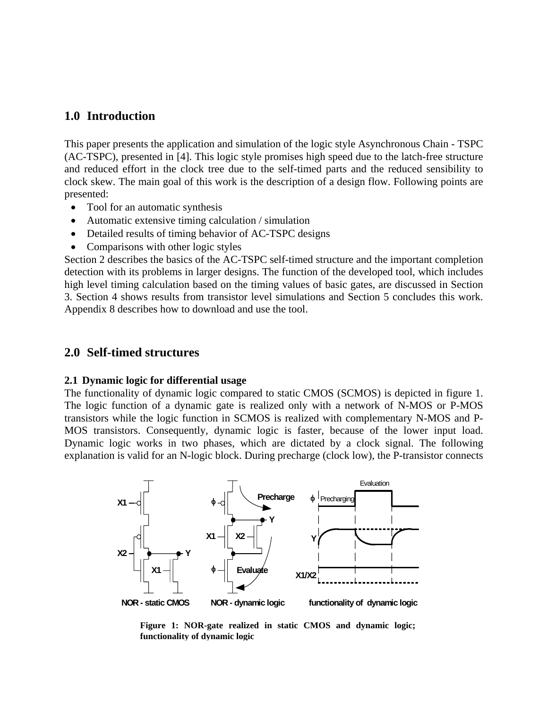### **1.0 Introduction**

This paper presents the application and simulation of the logic style Asynchronous Chain - TSPC (AC-TSPC), presented in [4]. This logic style promises high speed due to the latch-free structure and reduced effort in the clock tree due to the self-timed parts and the reduced sensibility to clock skew. The main goal of this work is the description of a design flow. Following points are presented:

- Tool for an automatic synthesis
- Automatic extensive timing calculation / simulation
- Detailed results of timing behavior of AC-TSPC designs
- Comparisons with other logic styles

Section 2 describes the basics of the AC-TSPC self-timed structure and the important completion detection with its problems in larger designs. The function of the developed tool, which includes high level timing calculation based on the timing values of basic gates, are discussed in Section 3. Section 4 shows results from transistor level simulations and Section 5 concludes this work. Appendix 8 describes how to download and use the tool.

#### **2.0 Self-timed structures**

#### **2.1 Dynamic logic for differential usage**

The functionality of dynamic logic compared to static CMOS (SCMOS) is depicted in figure 1. The logic function of a dynamic gate is realized only with a network of N-MOS or P-MOS transistors while the logic function in SCMOS is realized with complementary N-MOS and P-MOS transistors. Consequently, dynamic logic is faster, because of the lower input load. Dynamic logic works in two phases, which are dictated by a clock signal. The following explanation is valid for an N-logic block. During precharge (clock low), the P-transistor connects



**Figure 1: NOR-gate realized in static CMOS and dynamic logic; functionality of dynamic logic**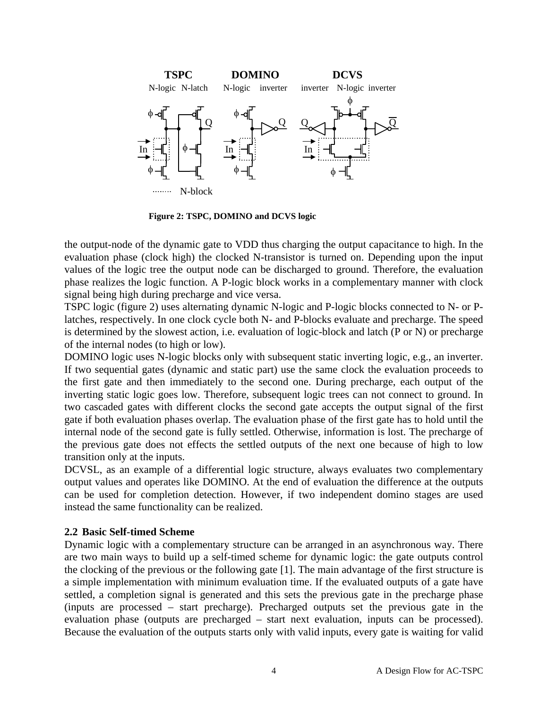

**Figure 2: TSPC, DOMINO and DCVS logic** 

the output-node of the dynamic gate to VDD thus charging the output capacitance to high. In the evaluation phase (clock high) the clocked N-transistor is turned on. Depending upon the input values of the logic tree the output node can be discharged to ground. Therefore, the evaluation phase realizes the logic function. A P-logic block works in a complementary manner with clock signal being high during precharge and vice versa.

TSPC logic (figure 2) uses alternating dynamic N-logic and P-logic blocks connected to N- or Platches, respectively. In one clock cycle both N- and P-blocks evaluate and precharge. The speed is determined by the slowest action, i.e. evaluation of logic-block and latch (P or N) or precharge of the internal nodes (to high or low).

DOMINO logic uses N-logic blocks only with subsequent static inverting logic, e.g., an inverter. If two sequential gates (dynamic and static part) use the same clock the evaluation proceeds to the first gate and then immediately to the second one. During precharge, each output of the inverting static logic goes low. Therefore, subsequent logic trees can not connect to ground. In two cascaded gates with different clocks the second gate accepts the output signal of the first gate if both evaluation phases overlap. The evaluation phase of the first gate has to hold until the internal node of the second gate is fully settled. Otherwise, information is lost. The precharge of the previous gate does not effects the settled outputs of the next one because of high to low transition only at the inputs.

DCVSL, as an example of a differential logic structure, always evaluates two complementary output values and operates like DOMINO. At the end of evaluation the difference at the outputs can be used for completion detection. However, if two independent domino stages are used instead the same functionality can be realized.

### **2.2 Basic Self-timed Scheme**

Dynamic logic with a complementary structure can be arranged in an asynchronous way. There are two main ways to build up a self-timed scheme for dynamic logic: the gate outputs control the clocking of the previous or the following gate [1]. The main advantage of the first structure is a simple implementation with minimum evaluation time. If the evaluated outputs of a gate have settled, a completion signal is generated and this sets the previous gate in the precharge phase (inputs are processed – start precharge). Precharged outputs set the previous gate in the evaluation phase (outputs are precharged – start next evaluation, inputs can be processed). Because the evaluation of the outputs starts only with valid inputs, every gate is waiting for valid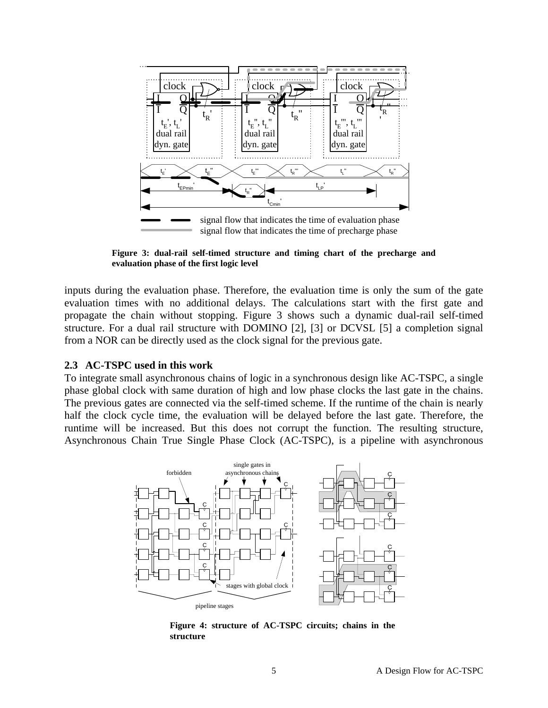

**Figure 3: dual-rail self-timed structure and timing chart of the precharge and evaluation phase of the first logic level**

inputs during the evaluation phase. Therefore, the evaluation time is only the sum of the gate evaluation times with no additional delays. The calculations start with the first gate and propagate the chain without stopping. Figure 3 shows such a dynamic dual-rail self-timed structure. For a dual rail structure with DOMINO [2], [3] or DCVSL [5] a completion signal from a NOR can be directly used as the clock signal for the previous gate.

#### **2.3 AC-TSPC used in this work**

To integrate small asynchronous chains of logic in a synchronous design like AC-TSPC, a single phase global clock with same duration of high and low phase clocks the last gate in the chains. The previous gates are connected via the self-timed scheme. If the runtime of the chain is nearly half the clock cycle time, the evaluation will be delayed before the last gate. Therefore, the runtime will be increased. But this does not corrupt the function. The resulting structure, Asynchronous Chain True Single Phase Clock (AC-TSPC), is a pipeline with asynchronous



**Figure 4: structure of AC-TSPC circuits; chains in the structure**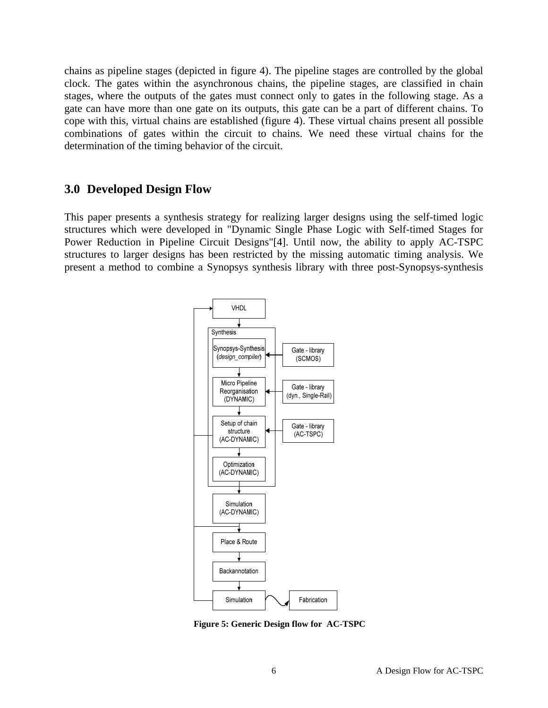chains as pipeline stages (depicted in figure 4). The pipeline stages are controlled by the global clock. The gates within the asynchronous chains, the pipeline stages, are classified in chain stages, where the outputs of the gates must connect only to gates in the following stage. As a gate can have more than one gate on its outputs, this gate can be a part of different chains. To cope with this, virtual chains are established (figure 4). These virtual chains present all possible combinations of gates within the circuit to chains. We need these virtual chains for the determination of the timing behavior of the circuit.

### **3.0 Developed Design Flow**

This paper presents a synthesis strategy for realizing larger designs using the self-timed logic structures which were developed in "Dynamic Single Phase Logic with Self-timed Stages for Power Reduction in Pipeline Circuit Designs"[4]. Until now, the ability to apply AC-TSPC structures to larger designs has been restricted by the missing automatic timing analysis. We present a method to combine a Synopsys synthesis library with three post-Synopsys-synthesis



**Figure 5: Generic Design flow for AC-TSPC**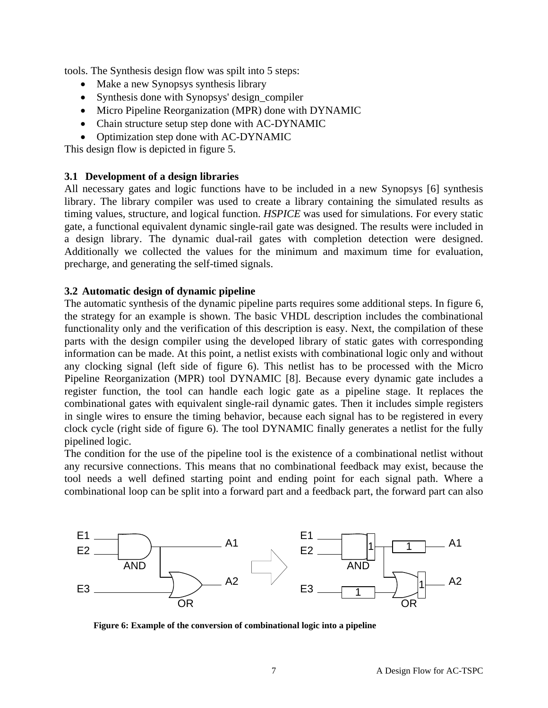tools. The Synthesis design flow was spilt into 5 steps:

- Make a new Synopsys synthesis library
- Synthesis done with Synopsys' design\_compiler
- Micro Pipeline Reorganization (MPR) done with DYNAMIC
- Chain structure setup step done with AC-DYNAMIC
- Optimization step done with AC-DYNAMIC

This design flow is depicted in figure 5.

### **3.1 Development of a design libraries**

All necessary gates and logic functions have to be included in a new Synopsys [6] synthesis library. The library compiler was used to create a library containing the simulated results as timing values, structure, and logical function. *HSPICE* was used for simulations. For every static gate, a functional equivalent dynamic single-rail gate was designed. The results were included in a design library. The dynamic dual-rail gates with completion detection were designed. Additionally we collected the values for the minimum and maximum time for evaluation, precharge, and generating the self-timed signals.

#### **3.2 Automatic design of dynamic pipeline**

The automatic synthesis of the dynamic pipeline parts requires some additional steps. In figure 6, the strategy for an example is shown. The basic VHDL description includes the combinational functionality only and the verification of this description is easy. Next, the compilation of these parts with the design compiler using the developed library of static gates with corresponding information can be made. At this point, a netlist exists with combinational logic only and without any clocking signal (left side of figure 6). This netlist has to be processed with the Micro Pipeline Reorganization (MPR) tool DYNAMIC [8]. Because every dynamic gate includes a register function, the tool can handle each logic gate as a pipeline stage. It replaces the combinational gates with equivalent single-rail dynamic gates. Then it includes simple registers in single wires to ensure the timing behavior, because each signal has to be registered in every clock cycle (right side of figure 6). The tool DYNAMIC finally generates a netlist for the fully pipelined logic.

The condition for the use of the pipeline tool is the existence of a combinational netlist without any recursive connections. This means that no combinational feedback may exist, because the tool needs a well defined starting point and ending point for each signal path. Where a combinational loop can be split into a forward part and a feedback part, the forward part can also



**Figure 6: Example of the conversion of combinational logic into a pipeline**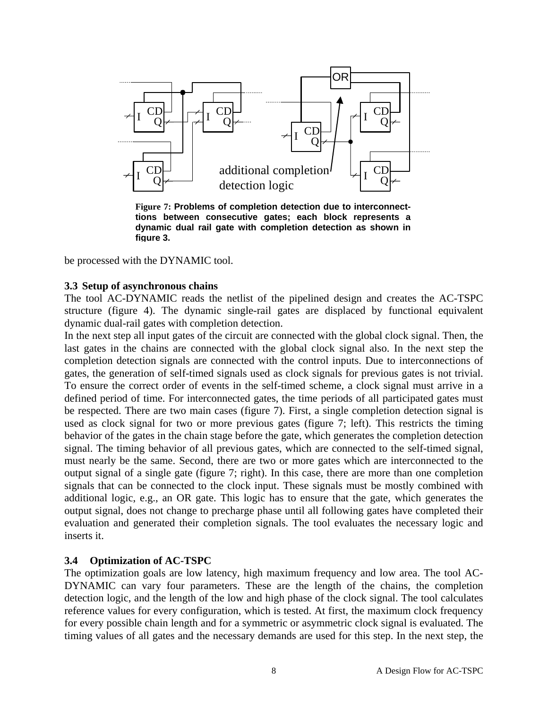

**Figure 7: Problems of completion detection due to interconnecttions between consecutive gates; each block represents a dynamic dual rail gate with completion detection as shown in figure 3.**

be processed with the DYNAMIC tool.

#### **3.3 Setup of asynchronous chains**

The tool AC-DYNAMIC reads the netlist of the pipelined design and creates the AC-TSPC structure (figure 4). The dynamic single-rail gates are displaced by functional equivalent dynamic dual-rail gates with completion detection.

In the next step all input gates of the circuit are connected with the global clock signal. Then, the last gates in the chains are connected with the global clock signal also. In the next step the completion detection signals are connected with the control inputs. Due to interconnections of gates, the generation of self-timed signals used as clock signals for previous gates is not trivial. To ensure the correct order of events in the self-timed scheme, a clock signal must arrive in a defined period of time. For interconnected gates, the time periods of all participated gates must be respected. There are two main cases (figure 7). First, a single completion detection signal is used as clock signal for two or more previous gates (figure 7; left). This restricts the timing behavior of the gates in the chain stage before the gate, which generates the completion detection signal. The timing behavior of all previous gates, which are connected to the self-timed signal, must nearly be the same. Second, there are two or more gates which are interconnected to the output signal of a single gate (figure 7; right). In this case, there are more than one completion signals that can be connected to the clock input. These signals must be mostly combined with additional logic, e.g., an OR gate. This logic has to ensure that the gate, which generates the output signal, does not change to precharge phase until all following gates have completed their evaluation and generated their completion signals. The tool evaluates the necessary logic and inserts it.

#### **3.4 Optimization of AC-TSPC**

The optimization goals are low latency, high maximum frequency and low area. The tool AC-DYNAMIC can vary four parameters. These are the length of the chains, the completion detection logic, and the length of the low and high phase of the clock signal. The tool calculates reference values for every configuration, which is tested. At first, the maximum clock frequency for every possible chain length and for a symmetric or asymmetric clock signal is evaluated. The timing values of all gates and the necessary demands are used for this step. In the next step, the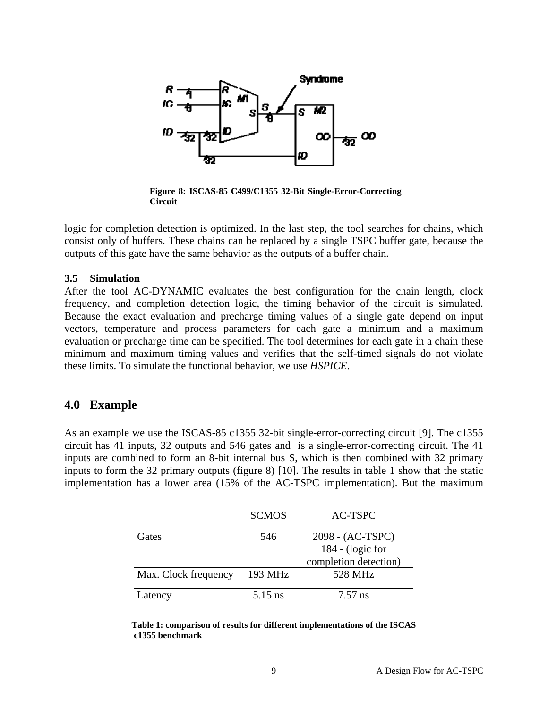

**Figure 8: ISCAS-85 C499/C1355 32-Bit Single-Error-Correcting Circuit** 

logic for completion detection is optimized. In the last step, the tool searches for chains, which consist only of buffers. These chains can be replaced by a single TSPC buffer gate, because the outputs of this gate have the same behavior as the outputs of a buffer chain.

#### **3.5 Simulation**

After the tool AC-DYNAMIC evaluates the best configuration for the chain length, clock frequency, and completion detection logic, the timing behavior of the circuit is simulated. Because the exact evaluation and precharge timing values of a single gate depend on input vectors, temperature and process parameters for each gate a minimum and a maximum evaluation or precharge time can be specified. The tool determines for each gate in a chain these minimum and maximum timing values and verifies that the self-timed signals do not violate these limits. To simulate the functional behavior, we use *HSPICE*.

### **4.0 Example**

As an example we use the ISCAS-85 c1355 32-bit single-error-correcting circuit [9]. The c1355 circuit has 41 inputs, 32 outputs and 546 gates and is a single-error-correcting circuit. The 41 inputs are combined to form an 8-bit internal bus S, which is then combined with 32 primary inputs to form the 32 primary outputs (figure 8) [10]. The results in table 1 show that the static implementation has a lower area (15% of the AC-TSPC implementation). But the maximum

|                      | <b>SCMOS</b> | AC-TSPC               |
|----------------------|--------------|-----------------------|
| Gates                | 546          | 2098 - (AC-TSPC)      |
|                      |              | $184 - (logic for$    |
|                      |              | completion detection) |
| Max. Clock frequency | 193 MHz      | 528 MHz               |
| Latency              | 5.15 ns      | $7.57$ ns             |

**Table 1: comparison of results for different implementations of the ISCAS c1355 benchmark**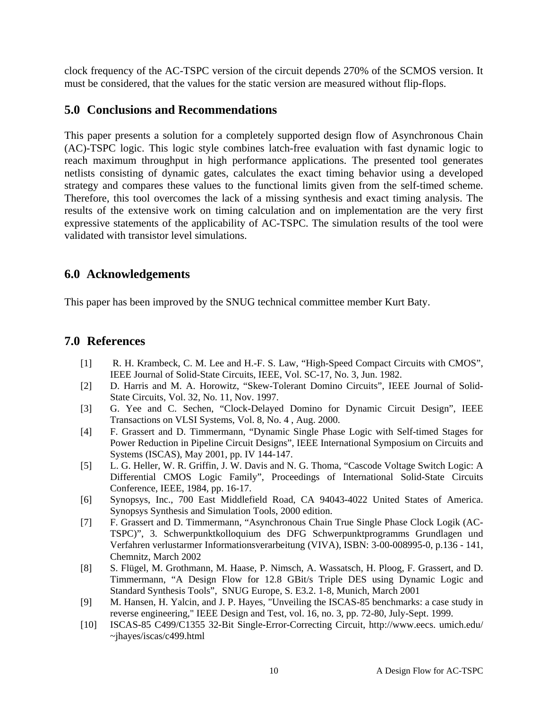clock frequency of the AC-TSPC version of the circuit depends 270% of the SCMOS version. It must be considered, that the values for the static version are measured without flip-flops.

## **5.0 Conclusions and Recommendations**

This paper presents a solution for a completely supported design flow of Asynchronous Chain (AC)-TSPC logic. This logic style combines latch-free evaluation with fast dynamic logic to reach maximum throughput in high performance applications. The presented tool generates netlists consisting of dynamic gates, calculates the exact timing behavior using a developed strategy and compares these values to the functional limits given from the self-timed scheme. Therefore, this tool overcomes the lack of a missing synthesis and exact timing analysis. The results of the extensive work on timing calculation and on implementation are the very first expressive statements of the applicability of AC-TSPC. The simulation results of the tool were validated with transistor level simulations.

# **6.0 Acknowledgements**

This paper has been improved by the SNUG technical committee member Kurt Baty.

# **7.0 References**

- [1] R. H. Krambeck, C. M. Lee and H.-F. S. Law, "High-Speed Compact Circuits with CMOS", IEEE Journal of Solid-State Circuits, IEEE, Vol. SC-17, No. 3, Jun. 1982.
- [2] D. Harris and M. A. Horowitz, "Skew-Tolerant Domino Circuits", IEEE Journal of Solid-State Circuits, Vol. 32, No. 11, Nov. 1997.
- [3] G. Yee and C. Sechen, "Clock-Delayed Domino for Dynamic Circuit Design", IEEE Transactions on VLSI Systems, Vol. 8, No. 4 , Aug. 2000.
- [4] F. Grassert and D. Timmermann, "Dynamic Single Phase Logic with Self-timed Stages for Power Reduction in Pipeline Circuit Designs", IEEE International Symposium on Circuits and Systems (ISCAS), May 2001, pp. IV 144-147.
- [5] L. G. Heller, W. R. Griffin, J. W. Davis and N. G. Thoma, "Cascode Voltage Switch Logic: A Differential CMOS Logic Family", Proceedings of International Solid-State Circuits Conference, IEEE, 1984, pp. 16-17.
- [6] Synopsys, Inc., 700 East Middlefield Road, CA 94043-4022 United States of America. Synopsys Synthesis and Simulation Tools, 2000 edition.
- [7] F. Grassert and D. Timmermann, "Asynchronous Chain True Single Phase Clock Logik (AC-TSPC)", 3. Schwerpunktkolloquium des DFG Schwerpunktprogramms Grundlagen und Verfahren verlustarmer Informationsverarbeitung (VIVA), ISBN: 3-00-008995-0, p.136 - 141, Chemnitz, March 2002
- [8] S. Flügel, M. Grothmann, M. Haase, P. Nimsch, A. Wassatsch, H. Ploog, F. Grassert, and D. Timmermann, "A Design Flow for 12.8 GBit/s Triple DES using Dynamic Logic and Standard Synthesis Tools", SNUG Europe, S. E3.2. 1-8, Munich, March 2001
- [9] M. Hansen, H. Yalcin, and J. P. Hayes, "Unveiling the ISCAS-85 benchmarks: a case study in reverse engineering," IEEE Design and Test, vol. 16, no. 3, pp. 72-80, July-Sept. 1999.
- [10] ISCAS-85 C499/C1355 32-Bit Single-Error-Correcting Circuit, http://www.eecs. umich.edu/ ~jhayes/iscas/c499.html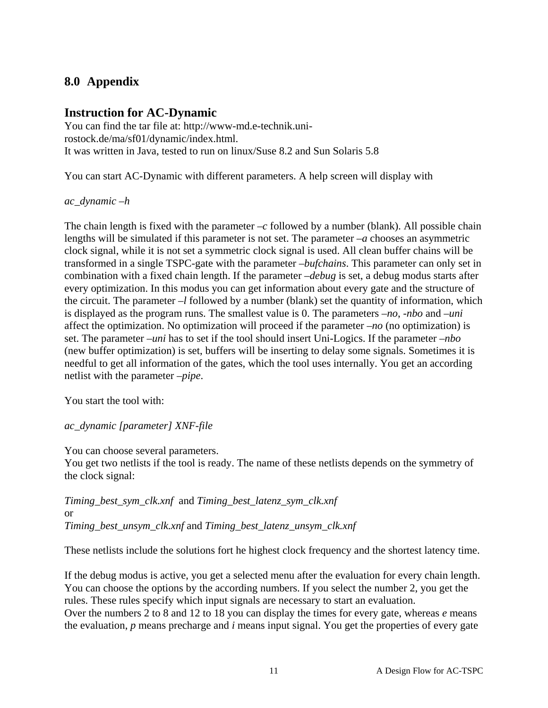# **8.0 Appendix**

# **Instruction for AC-Dynamic**

You can find the tar file at: http://www-md.e-technik.unirostock.de/ma/sf01/dynamic/index.html. It was written in Java, tested to run on linux/Suse 8.2 and Sun Solaris 5.8

You can start AC-Dynamic with different parameters. A help screen will display with

*ac\_dynamic –h* 

The chain length is fixed with the parameter  $-c$  followed by a number (blank). All possible chain lengths will be simulated if this parameter is not set. The parameter *–a* chooses an asymmetric clock signal, while it is not set a symmetric clock signal is used. All clean buffer chains will be transformed in a single TSPC-gate with the parameter *–bufchains*. This parameter can only set in combination with a fixed chain length. If the parameter *–debug* is set, a debug modus starts after every optimization. In this modus you can get information about every gate and the structure of the circuit. The parameter *–l* followed by a number (blank) set the quantity of information, which is displayed as the program runs. The smallest value is 0. The parameters *–no*, *-nbo* and *–uni* affect the optimization. No optimization will proceed if the parameter *–no* (no optimization) is set. The parameter *–uni* has to set if the tool should insert Uni-Logics. If the parameter *–nbo*  (new buffer optimization) is set, buffers will be inserting to delay some signals. Sometimes it is needful to get all information of the gates, which the tool uses internally. You get an according netlist with the parameter *–pipe*.

You start the tool with:

*ac\_dynamic [parameter] XNF-file* 

You can choose several parameters.

You get two netlists if the tool is ready. The name of these netlists depends on the symmetry of the clock signal:

*Timing\_best\_sym\_clk.xnf* and *Timing\_best\_latenz\_sym\_clk.xnf* or *Timing\_best\_unsym\_clk.xnf* and *Timing\_best\_latenz\_unsym\_clk.xnf* 

These netlists include the solutions fort he highest clock frequency and the shortest latency time.

If the debug modus is active, you get a selected menu after the evaluation for every chain length. You can choose the options by the according numbers. If you select the number 2, you get the rules. These rules specify which input signals are necessary to start an evaluation.

Over the numbers 2 to 8 and 12 to 18 you can display the times for every gate, whereas *e* means the evaluation, *p* means precharge and *i* means input signal. You get the properties of every gate